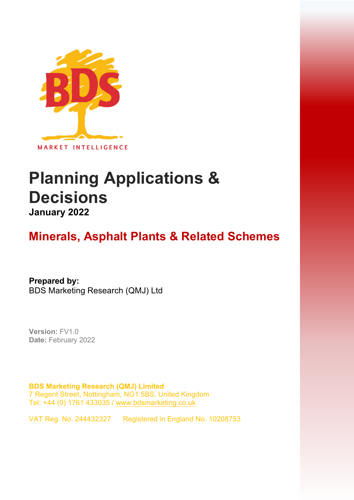

# **Planning Applications & Decisions January 2022**

## **Minerals, Asphalt Plants & Related Schemes**

**Prepared by:**  BDS Marketing Research (QMJ) Ltd

**Version:** FV1.0 **Date:** February 2022

**BDS Marketing Research (QMJ) Limited**  7 Regent Street, Nottingham, NG1 5BS, United Kingdom Tel: +44 (0) 1761 433035 / [www.bdsmarketing.co.uk](http://www.bdsmarketing.co.uk/)

VAT Reg. No. 244432327 Registered in England No. 10208753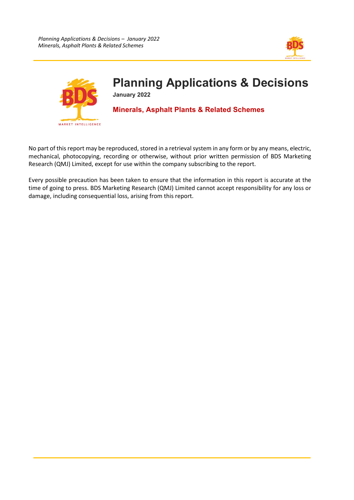



## **Planning Applications & Decisions**

**January 2022**

## **Minerals, Asphalt Plants & Related Schemes**

No part of this report may be reproduced, stored in a retrieval system in any form or by any means, electric, mechanical, photocopying, recording or otherwise, without prior written permission of BDS Marketing Research (QMJ) Limited, except for use within the company subscribing to the report.

Every possible precaution has been taken to ensure that the information in this report is accurate at the time of going to press. BDS Marketing Research (QMJ) Limited cannot accept responsibility for any loss or damage, including consequential loss, arising from this report.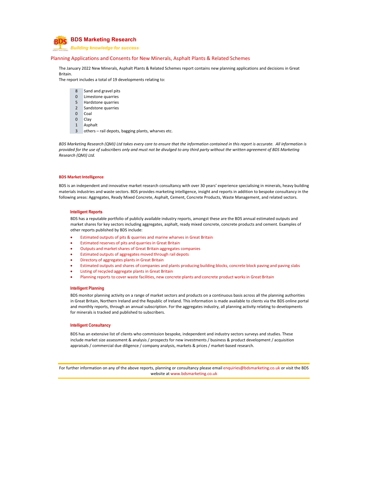

*Building knowledge for success*

### Planning Applications and Consents for New Minerals, Asphalt Plants & Related Schemes

The January 2022 New Minerals, Asphalt Plants & Related Schemes report contains new planning applications and decisions in Great Britain.

The report includes a total of 19 developments relating to:

- 8 Sand and gravel pits
- 0 Limestone quarries
- 5 Hardstone quarries
- 2 Sandstone quarries
- 0 Coal
- 0 Clay
- 1 Asphalt
- 3 others rail depots, bagging plants, wharves etc.

BDS Marketing Research (QMJ) Ltd takes every care to ensure that the information contained in this report is accurate. All information is provided for the use of subscribers only and must not be divulged to any third party without the written agreement of BDS Marketing *Research (QMJ) Ltd.*

#### **BDS Market Intelligence**

BDS is an independent and innovative market research consultancy with over 30 years' experience specialising in minerals, heavy building materials industries and waste sectors. BDS provides marketing intelligence, insight and reports in addition to bespoke consultancy in the following areas: Aggregates, Ready Mixed Concrete, Asphalt, Cement, Concrete Products, Waste Management, and related sectors.

#### **Intelligent Reports**

BDS has a reputable portfolio of publicly available industry reports, amongst these are the BDS annual estimated outputs and market shares for key sectors including aggregates, asphalt, ready mixed concrete, concrete products and cement. Examples of other reports published by BDS include:

- Estimated outputs of pits & quarries and marine wharves in Great Britain
- Estimated reserves of pits and quarries in Great Britain
- Outputs and market shares of Great Britain aggregates companies
- Estimated outputs of aggregates moved through rail depots
- Directory of aggregates plants in Great Britain
- Estimated outputs and shares of companies and plants producing building blocks, concrete block paving and paving slabs
- Listing of recycled aggregate plants in Great Britain
- Planning reports to cover waste facilities, new concrete plants and concrete product works in Great Britain

#### **Intelligent Planning**

BDS monitor planning activity on a range of market sectors and products on a continuous basis across all the planning authorities in Great Britain, Northern Ireland and the Republic of Ireland. This information is made available to clients via the BDS online portal and monthly reports, through an annual subscription. For the aggregates industry, all planning activity relating to developments for minerals is tracked and published to subscribers.

#### **Intelligent Consultancy**

BDS has an extensive list of clients who commission bespoke, independent and industry sectors surveys and studies. These include market size assessment & analysis / prospects for new investments / business & product development / acquisition appraisals / commercial due diligence / company analysis, markets & prices / market-based research.

For further information on any of the above reports, planning or consultancy please email enquiries@bdsmarketing.co.uk or visit the BDS website at www.bdsmarketing.co.uk